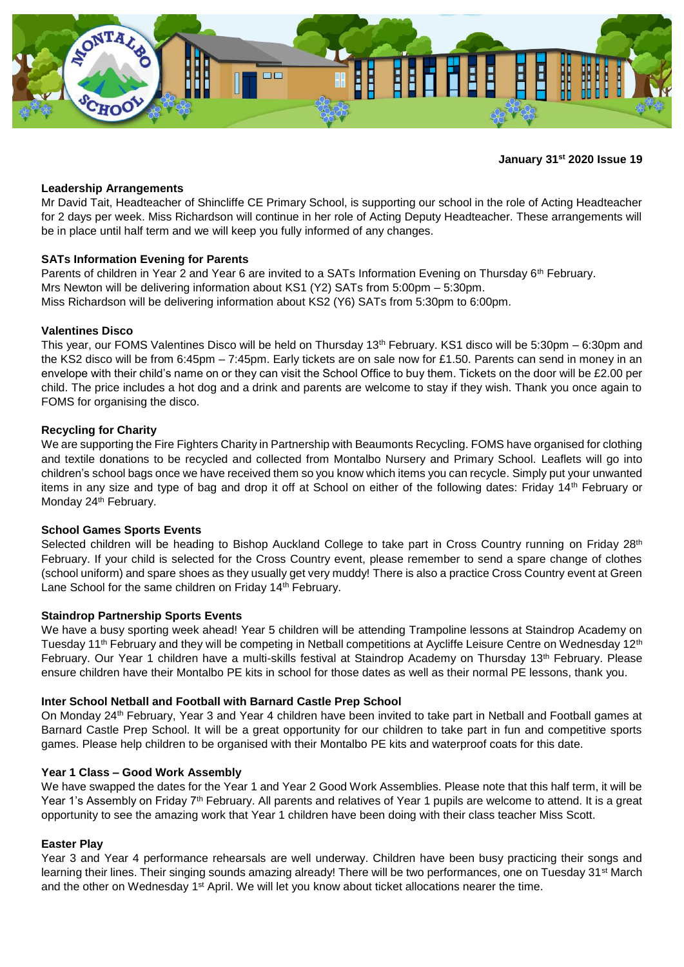

## **January 31st 2020 Issue 19**

### **Leadership Arrangements**

Mr David Tait, Headteacher of Shincliffe CE Primary School, is supporting our school in the role of Acting Headteacher for 2 days per week. Miss Richardson will continue in her role of Acting Deputy Headteacher. These arrangements will be in place until half term and we will keep you fully informed of any changes.

### **SATs Information Evening for Parents**

Parents of children in Year 2 and Year 6 are invited to a SATs Information Evening on Thursday 6th February. Mrs Newton will be delivering information about KS1 (Y2) SATs from 5:00pm – 5:30pm. Miss Richardson will be delivering information about KS2 (Y6) SATs from 5:30pm to 6:00pm.

### **Valentines Disco**

This year, our FOMS Valentines Disco will be held on Thursday 13<sup>th</sup> February. KS1 disco will be 5:30pm – 6:30pm and the KS2 disco will be from 6:45pm – 7:45pm. Early tickets are on sale now for £1.50. Parents can send in money in an envelope with their child's name on or they can visit the School Office to buy them. Tickets on the door will be £2.00 per child. The price includes a hot dog and a drink and parents are welcome to stay if they wish. Thank you once again to FOMS for organising the disco.

### **Recycling for Charity**

We are supporting the Fire Fighters Charity in Partnership with Beaumonts Recycling. FOMS have organised for clothing and textile donations to be recycled and collected from Montalbo Nursery and Primary School. Leaflets will go into children's school bags once we have received them so you know which items you can recycle. Simply put your unwanted items in any size and type of bag and drop it off at School on either of the following dates: Friday 14<sup>th</sup> February or Monday 24<sup>th</sup> February.

### **School Games Sports Events**

Selected children will be heading to Bishop Auckland College to take part in Cross Country running on Friday 28<sup>th</sup> February. If your child is selected for the Cross Country event, please remember to send a spare change of clothes (school uniform) and spare shoes as they usually get very muddy! There is also a practice Cross Country event at Green Lane School for the same children on Friday 14<sup>th</sup> February.

### **Staindrop Partnership Sports Events**

We have a busy sporting week ahead! Year 5 children will be attending Trampoline lessons at Staindrop Academy on Tuesday 11<sup>th</sup> February and they will be competing in Netball competitions at Aycliffe Leisure Centre on Wednesday 12<sup>th</sup> February. Our Year 1 children have a multi-skills festival at Staindrop Academy on Thursday 13<sup>th</sup> February. Please ensure children have their Montalbo PE kits in school for those dates as well as their normal PE lessons, thank you.

# **Inter School Netball and Football with Barnard Castle Prep School**

On Monday 24th February, Year 3 and Year 4 children have been invited to take part in Netball and Football games at Barnard Castle Prep School. It will be a great opportunity for our children to take part in fun and competitive sports games. Please help children to be organised with their Montalbo PE kits and waterproof coats for this date.

### **Year 1 Class – Good Work Assembly**

We have swapped the dates for the Year 1 and Year 2 Good Work Assemblies. Please note that this half term, it will be Year 1's Assembly on Friday 7<sup>th</sup> February. All parents and relatives of Year 1 pupils are welcome to attend. It is a great opportunity to see the amazing work that Year 1 children have been doing with their class teacher Miss Scott.

### **Easter Play**

Year 3 and Year 4 performance rehearsals are well underway. Children have been busy practicing their songs and learning their lines. Their singing sounds amazing already! There will be two performances, one on Tuesday 31<sup>st</sup> March and the other on Wednesday 1<sup>st</sup> April. We will let you know about ticket allocations nearer the time.